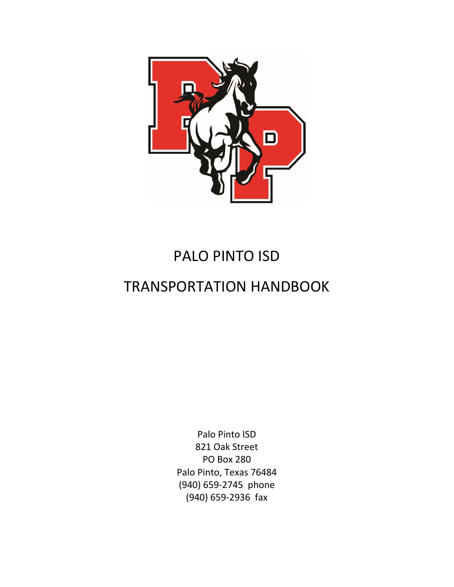

# PALO PINTO ISD

# TRANSPORTATION HANDBOOK

Palo Pinto ISD 821 Oak Street PO Box 280 Palo Pinto, Texas 76484 (940) 659-2745 phone (940) 659-2936 fax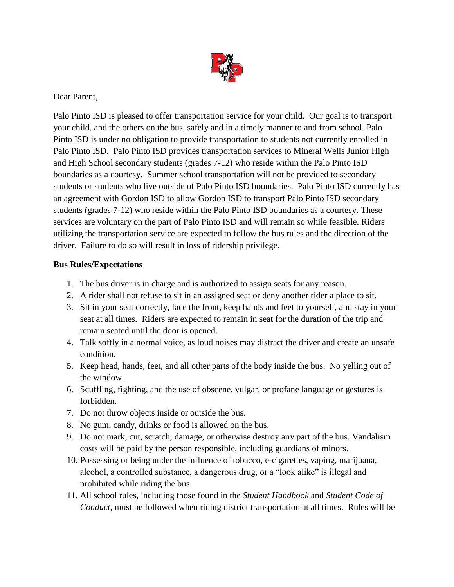

Dear Parent,

Palo Pinto ISD is pleased to offer transportation service for your child. Our goal is to transport your child, and the others on the bus, safely and in a timely manner to and from school. Palo Pinto ISD is under no obligation to provide transportation to students not currently enrolled in Palo Pinto ISD. Palo Pinto ISD provides transportation services to Mineral Wells Junior High and High School secondary students (grades 7-12) who reside within the Palo Pinto ISD boundaries as a courtesy. Summer school transportation will not be provided to secondary students or students who live outside of Palo Pinto ISD boundaries. Palo Pinto ISD currently has an agreement with Gordon ISD to allow Gordon ISD to transport Palo Pinto ISD secondary students (grades 7-12) who reside within the Palo Pinto ISD boundaries as a courtesy. These services are voluntary on the part of Palo Pinto ISD and will remain so while feasible. Riders utilizing the transportation service are expected to follow the bus rules and the direction of the driver. Failure to do so will result in loss of ridership privilege.

#### **Bus Rules/Expectations**

- 1. The bus driver is in charge and is authorized to assign seats for any reason.
- 2. A rider shall not refuse to sit in an assigned seat or deny another rider a place to sit.
- 3. Sit in your seat correctly, face the front, keep hands and feet to yourself, and stay in your seat at all times. Riders are expected to remain in seat for the duration of the trip and remain seated until the door is opened.
- 4. Talk softly in a normal voice, as loud noises may distract the driver and create an unsafe condition.
- 5. Keep head, hands, feet, and all other parts of the body inside the bus. No yelling out of the window.
- 6. Scuffling, fighting, and the use of obscene, vulgar, or profane language or gestures is forbidden.
- 7. Do not throw objects inside or outside the bus.
- 8. No gum, candy, drinks or food is allowed on the bus.
- 9. Do not mark, cut, scratch, damage, or otherwise destroy any part of the bus. Vandalism costs will be paid by the person responsible, including guardians of minors.
- 10. Possessing or being under the influence of tobacco, e-cigarettes, vaping, marijuana, alcohol, a controlled substance, a dangerous drug, or a "look alike" is illegal and prohibited while riding the bus.
- 11. All school rules, including those found in the *Student Handbook* and *Student Code of Conduct*, must be followed when riding district transportation at all times. Rules will be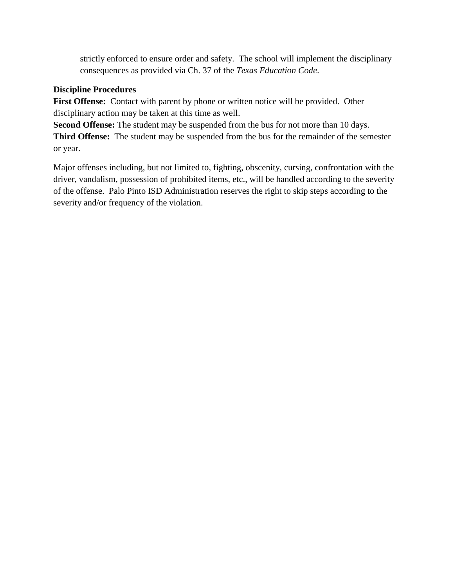strictly enforced to ensure order and safety. The school will implement the disciplinary consequences as provided via Ch. 37 of the *Texas Education Code*.

#### **Discipline Procedures**

First Offense: Contact with parent by phone or written notice will be provided. Other disciplinary action may be taken at this time as well.

**Second Offense:** The student may be suspended from the bus for not more than 10 days. **Third Offense:** The student may be suspended from the bus for the remainder of the semester or year.

Major offenses including, but not limited to, fighting, obscenity, cursing, confrontation with the driver, vandalism, possession of prohibited items, etc., will be handled according to the severity of the offense. Palo Pinto ISD Administration reserves the right to skip steps according to the severity and/or frequency of the violation.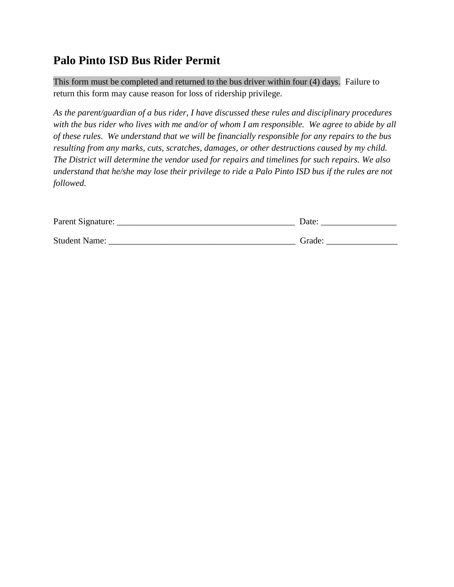### **Palo Pinto ISD Bus Rider Permit**

This form must be completed and returned to the bus driver within four (4) days. Failure to return this form may cause reason for loss of ridership privilege.

*As the parent/guardian of a bus rider, I have discussed these rules and disciplinary procedures with the bus rider who lives with me and/or of whom I am responsible. We agree to abide by all of these rules. We understand that we will be financially responsible for any repairs to the bus resulting from any marks, cuts, scratches, damages, or other destructions caused by my child. The District will determine the vendor used for repairs and timelines for such repairs. We also understand that he/she may lose their privilege to ride a Palo Pinto ISD bus if the rules are not followed.*

| Parent Signature:    | Date   |
|----------------------|--------|
|                      |        |
| <b>Student Name:</b> | Grade: |